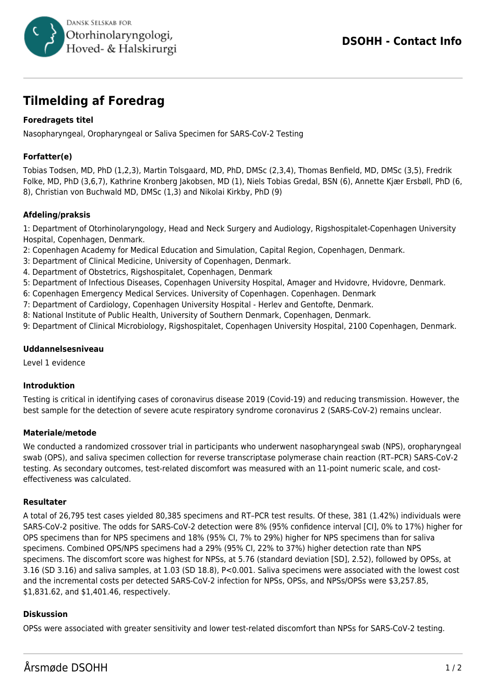

# **Tilmelding af Foredrag**

# **Foredragets titel**

Nasopharyngeal, Oropharyngeal or Saliva Specimen for SARS-CoV-2 Testing

# **Forfatter(e)**

Tobias Todsen, MD, PhD (1,2,3), Martin Tolsgaard, MD, PhD, DMSc (2,3,4), Thomas Benfield, MD, DMSc (3,5), Fredrik Folke, MD, PhD (3,6,7), Kathrine Kronberg Jakobsen, MD (1), Niels Tobias Gredal, BSN (6), Annette Kjær Ersbøll, PhD (6, 8), Christian von Buchwald MD, DMSc (1,3) and Nikolai Kirkby, PhD (9)

### **Afdeling/praksis**

1: Department of Otorhinolaryngology, Head and Neck Surgery and Audiology, Rigshospitalet-Copenhagen University Hospital, Copenhagen, Denmark.

- 2: Copenhagen Academy for Medical Education and Simulation, Capital Region, Copenhagen, Denmark.
- 3: Department of Clinical Medicine, University of Copenhagen, Denmark.
- 4. Department of Obstetrics, Rigshospitalet, Copenhagen, Denmark
- 5: Department of Infectious Diseases, Copenhagen University Hospital, Amager and Hvidovre, Hvidovre, Denmark.
- 6: Copenhagen Emergency Medical Services. University of Copenhagen. Copenhagen. Denmark
- 7: Department of Cardiology, Copenhagen University Hospital Herlev and Gentofte, Denmark.
- 8: National Institute of Public Health, University of Southern Denmark, Copenhagen, Denmark.
- 9: Department of Clinical Microbiology, Rigshospitalet, Copenhagen University Hospital, 2100 Copenhagen, Denmark.

#### **Uddannelsesniveau**

Level 1 evidence

#### **Introduktion**

Testing is critical in identifying cases of coronavirus disease 2019 (Covid-19) and reducing transmission. However, the best sample for the detection of severe acute respiratory syndrome coronavirus 2 (SARS-CoV-2) remains unclear.

#### **Materiale/metode**

We conducted a randomized crossover trial in participants who underwent nasopharyngeal swab (NPS), oropharyngeal swab (OPS), and saliva specimen collection for reverse transcriptase polymerase chain reaction (RT–PCR) SARS-CoV-2 testing. As secondary outcomes, test-related discomfort was measured with an 11-point numeric scale, and costeffectiveness was calculated.

#### **Resultater**

A total of 26,795 test cases yielded 80,385 specimens and RT–PCR test results. Of these, 381 (1.42%) individuals were SARS-CoV-2 positive. The odds for SARS-CoV-2 detection were 8% (95% confidence interval [CI], 0% to 17%) higher for OPS specimens than for NPS specimens and 18% (95% CI, 7% to 29%) higher for NPS specimens than for saliva specimens. Combined OPS/NPS specimens had a 29% (95% CI, 22% to 37%) higher detection rate than NPS specimens. The discomfort score was highest for NPSs, at 5.76 (standard deviation [SD], 2.52), followed by OPSs, at 3.16 (SD 3.16) and saliva samples, at 1.03 (SD 18.8), P<0.001. Saliva specimens were associated with the lowest cost and the incremental costs per detected SARS-CoV-2 infection for NPSs, OPSs, and NPSs/OPSs were \$3,257.85, \$1,831.62, and \$1,401.46, respectively.

#### **Diskussion**

OPSs were associated with greater sensitivity and lower test-related discomfort than NPSs for SARS-CoV-2 testing.